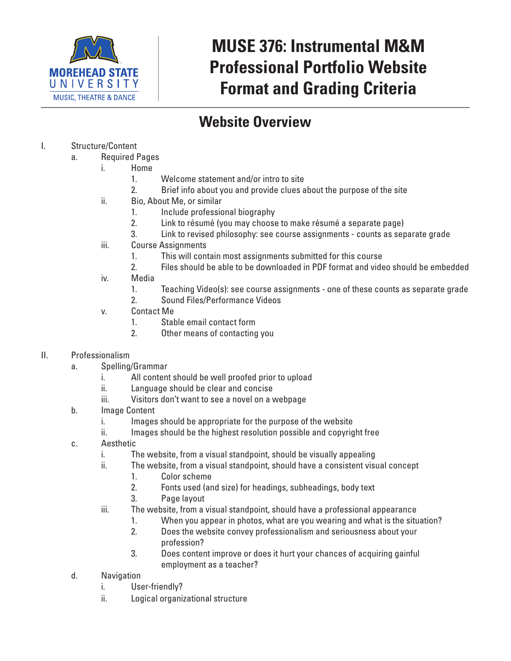

# **MUSE 376: Instrumental M&M Professional Portfolio Website Format and Grading Criteria**

## **Website Overview**

- I. Structure/Content
	- a. Required Pages
		- i. Home
			- 1. Welcome statement and/or intro to site
			- 2. Brief info about you and provide clues about the purpose of the site
		- ii. Bio, About Me, or similar
			- 1. Include professional biography
			- 2. Link to résumé (you may choose to make résumé a separate page)
			- 3. Link to revised philosophy: see course assignments counts as separate grade
		- iii. Course Assignments
			- 1. This will contain most assignments submitted for this course
			- 2. Files should be able to be downloaded in PDF format and video should be embedded
		- iv. Media
			- 1. Teaching Video(s): see course assignments one of these counts as separate grade
			- 2. Sound Files/Performance Videos
		- v. Contact Me
			- 1. Stable email contact form
			- 2. Other means of contacting you
- II. Professionalism
	- a. Spelling/Grammar
		- i. All content should be well proofed prior to upload
		- ii. Language should be clear and concise
		- iii. Visitors don't want to see a novel on a webpage
	- b. Image Content
		- i. Images should be appropriate for the purpose of the website
		- ii. Images should be the highest resolution possible and copyright free
	- c. Aesthetic
		- i. The website, from a visual standpoint, should be visually appealing
		- ii. The website, from a visual standpoint, should have a consistent visual concept
			- 1. Color scheme
			- 2. Fonts used (and size) for headings, subheadings, body text
			- 3. Page layout
		- iii. The website, from a visual standpoint, should have a professional appearance
			- 1. When you appear in photos, what are you wearing and what is the situation?
			- 2. Does the website convey professionalism and seriousness about your profession?
			- 3. Does content improve or does it hurt your chances of acquiring gainful employment as a teacher?
	- d. Navigation
		- i. User-friendly?
		- ii. Logical organizational structure